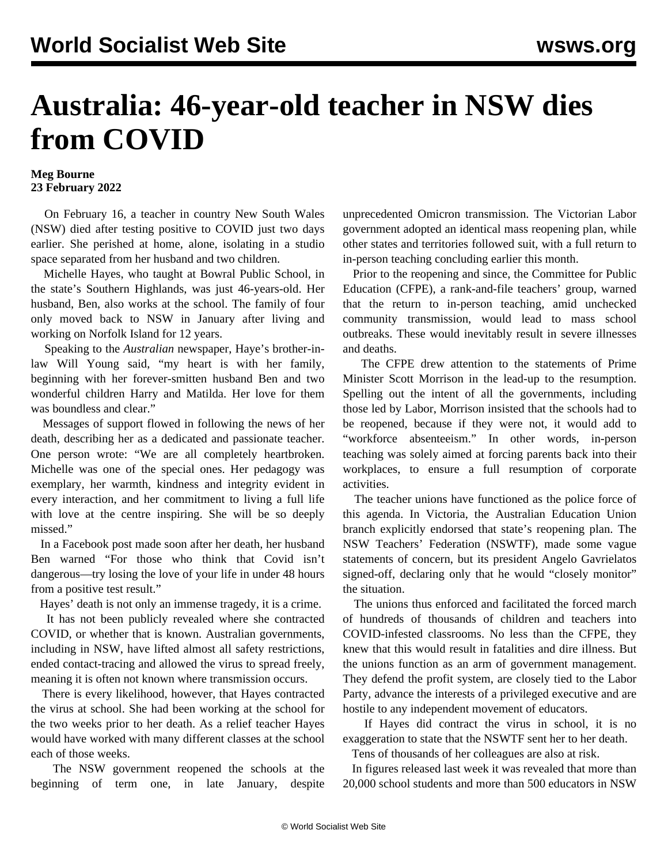## **Australia: 46-year-old teacher in NSW dies from COVID**

## **Meg Bourne 23 February 2022**

 On February 16, a teacher in country New South Wales (NSW) died after testing positive to COVID just two days earlier. She perished at home, alone, isolating in a studio space separated from her husband and two children.

 Michelle Hayes, who taught at Bowral Public School, in the state's Southern Highlands, was just 46-years-old. Her husband, Ben, also works at the school. The family of four only moved back to NSW in January after living and working on Norfolk Island for 12 years.

 Speaking to the *Australian* newspaper, Haye's brother-inlaw Will Young said, "my heart is with her family, beginning with her forever-smitten husband Ben and two wonderful children Harry and Matilda. Her love for them was boundless and clear."

 Messages of support flowed in following the news of her death, describing her as a dedicated and passionate teacher. One person wrote: "We are all completely heartbroken. Michelle was one of the special ones. Her pedagogy was exemplary, her warmth, kindness and integrity evident in every interaction, and her commitment to living a full life with love at the centre inspiring. She will be so deeply missed."

 In a Facebook post made soon after her death, her husband Ben warned "For those who think that Covid isn't dangerous—try losing the love of your life in under 48 hours from a positive test result."

Hayes' death is not only an immense tragedy, it is a crime.

 It has not been publicly revealed where she contracted COVID, or whether that is known. Australian governments, including in NSW, have lifted almost all safety restrictions, ended contact-tracing and allowed the virus to spread freely, meaning it is often not known where transmission occurs.

 There is every likelihood, however, that Hayes contracted the virus at school. She had been working at the school for the two weeks prior to her death. As a relief teacher Hayes would have worked with many different classes at the school each of those weeks.

 The NSW government reopened the schools at the beginning of term one, in late January, despite unprecedented Omicron transmission. The Victorian Labor government adopted an identical mass reopening plan, while other states and territories followed suit, with a full return to in-person teaching concluding earlier this month.

 Prior to the reopening and since, the Committee for Public Education (CFPE), a rank-and-file teachers' group, warned that the return to in-person teaching, amid unchecked community transmission, would lead to mass school outbreaks. These would inevitably result in severe illnesses and deaths.

 The CFPE drew attention to the statements of Prime Minister Scott Morrison in the lead-up to the resumption. Spelling out the intent of all the governments, including those led by Labor, Morrison insisted that the schools had to be reopened, because if they were not, it would add to "workforce absenteeism." In other words, in-person teaching was solely aimed at forcing parents back into their workplaces, to ensure a full resumption of corporate activities.

 The teacher unions have functioned as the police force of this agenda. In Victoria, the Australian Education Union branch explicitly endorsed that state's reopening plan. The NSW Teachers' Federation (NSWTF), made some vague statements of concern, but its president Angelo Gavrielatos signed-off, declaring only that he would "closely monitor" the situation.

 The unions thus enforced and facilitated the forced march of hundreds of thousands of children and teachers into COVID-infested classrooms. No less than the CFPE, they knew that this would result in fatalities and dire illness. But the unions function as an arm of government management. They defend the profit system, are closely tied to the Labor Party, advance the interests of a privileged executive and are hostile to any independent movement of educators.

 If Hayes did contract the virus in school, it is no exaggeration to state that the NSWTF sent her to her death.

Tens of thousands of her colleagues are also at risk.

 In figures released last week it was revealed that more than 20,000 school students and more than 500 educators in NSW